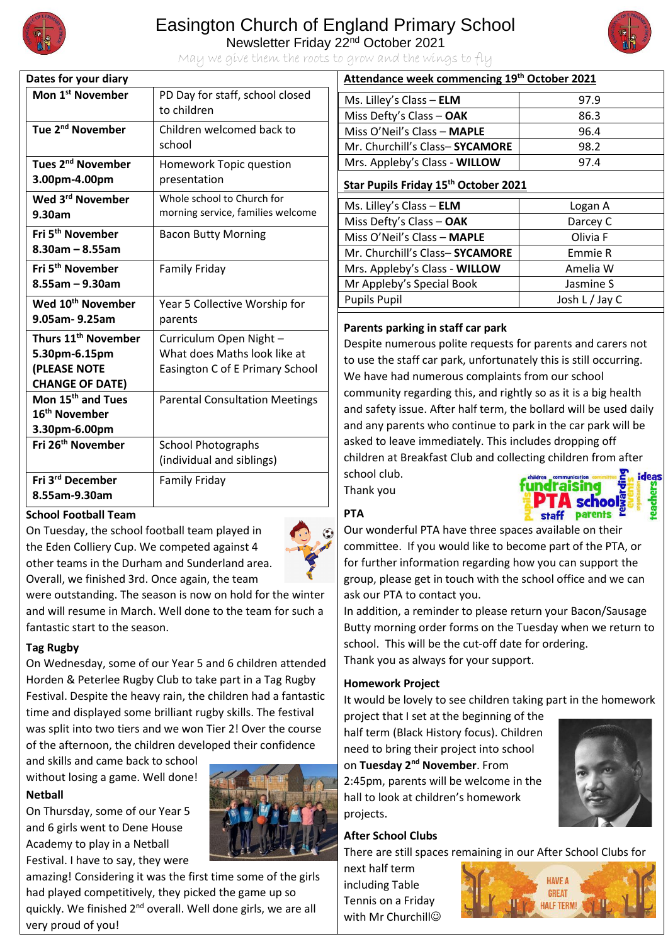

## Easington Church of England Primary School

Newsletter Friday 22nd October 2021



May we give them the roots to grow and the wings to fly

| Dates for your diary                                  |                                                                 |
|-------------------------------------------------------|-----------------------------------------------------------------|
| Mon 1 <sup>st</sup> November                          | PD Day for staff, school closed<br>to children                  |
| Tue 2 <sup>nd</sup> November                          | Children welcomed back to<br>school                             |
| Tues 2 <sup>nd</sup> November                         | Homework Topic question                                         |
| 3.00pm-4.00pm                                         | presentation                                                    |
| Wed 3 <sup>rd</sup> November<br>9.30am                | Whole school to Church for<br>morning service, families welcome |
| Fri 5 <sup>th</sup> November<br>$8.30$ am - $8.55$ am | <b>Bacon Butty Morning</b>                                      |
| Fri 5 <sup>th</sup> November<br>$8.55$ am - 9.30am    | Family Friday                                                   |
| Wed 10 <sup>th</sup> November<br>9.05am-9.25am        | Year 5 Collective Worship for<br>parents                        |
| Thurs 11 <sup>th</sup> November                       | Curriculum Open Night -                                         |
| 5.30pm-6.15pm                                         | What does Maths look like at                                    |
| (PLEASE NOTE                                          | Easington C of E Primary School                                 |
| <b>CHANGE OF DATE)</b>                                |                                                                 |
| Mon 15 <sup>th</sup> and Tues                         | <b>Parental Consultation Meetings</b>                           |
| 16 <sup>th</sup> November                             |                                                                 |
| 3.30pm-6.00pm                                         |                                                                 |
| Fri 26 <sup>th</sup> November                         | <b>School Photographs</b>                                       |
|                                                       | (individual and siblings)                                       |
| Fri 3rd December                                      | <b>Family Friday</b>                                            |
| 8.55am-9.30am                                         |                                                                 |

#### **School Football Team**

On Tuesday, the school football team played in the Eden Colliery Cup. We competed against 4 other teams in the Durham and Sunderland area. Overall, we finished 3rd. Once again, the team



were outstanding. The season is now on hold for the winter and will resume in March. Well done to the team for such a fantastic start to the season.

#### **Tag Rugby**

On Wednesday, some of our Year 5 and 6 children attended Horden & Peterlee Rugby Club to take part in a Tag Rugby Festival. Despite the heavy rain, the children had a fantastic time and displayed some brilliant rugby skills. The festival was split into two tiers and we won Tier 2! Over the course of the afternoon, the children developed their confidence

and skills and came back to school without losing a game. Well done! **Netball** 

On Thursday, some of our Year 5 and 6 girls went to Dene House Academy to play in a Netball Festival. I have to say, they were



amazing! Considering it was the first time some of the girls had played competitively, they picked the game up so quickly. We finished 2<sup>nd</sup> overall. Well done girls, we are all very proud of you!

### **Attendance week commencing 19th October 2021** Ms. Lilley's Class – **ELM** 97.9 Miss Defty's Class – **OAK** 86.3 Miss O'Neil's Class – **MAPLE** 96.4 Mr. Churchill's Class-SYCAMORE<sup>1</sup> 98.2 Mrs. Appleby's Class - **WILLOW** 97.4

#### **Star Pupils Friday 15th October 2021**

| Ms. Lilley's Class $-$ ELM     | Logan A        |
|--------------------------------|----------------|
| Miss Defty's Class - OAK       | Darcey C       |
| Miss O'Neil's Class - MAPLE    | Olivia F       |
| Mr. Churchill's Class-SYCAMORE | Emmie R        |
| Mrs. Appleby's Class - WILLOW  | Amelia W       |
| Mr Appleby's Special Book      | Jasmine S      |
| <b>Pupils Pupil</b>            | Josh L / Jay C |
|                                |                |

#### **Parents parking in staff car park**

Despite numerous polite requests for parents and carers not to use the staff car park, unfortunately this is still occurring. We have had numerous complaints from our school community regarding this, and rightly so as it is a big health and safety issue. After half term, the bollard will be used daily and any parents who continue to park in the car park will be asked to leave immediately. This includes dropping off children at Breakfast Club and collecting children from after school club. ideas

Thank you



#### **PTA**

Our wonderful PTA have three spaces available on their committee. If you would like to become part of the PTA, or for further information regarding how you can support the group, please get in touch with the school office and we can ask our PTA to contact you.

In addition, a reminder to please return your Bacon/Sausage Butty morning order forms on the Tuesday when we return to school. This will be the cut-off date for ordering. Thank you as always for your support.

#### **Homework Project**

It would be lovely to see children taking part in the homework

project that I set at the beginning of the half term (Black History focus). Children need to bring their project into school on **Tuesday 2nd November**. From 2:45pm, parents will be welcome in the hall to look at children's homework projects.



#### **After School Clubs**

There are still spaces remaining in our After School Clubs for

next half term including Table Tennis on a Friday with Mr Churchill<sup>®</sup>